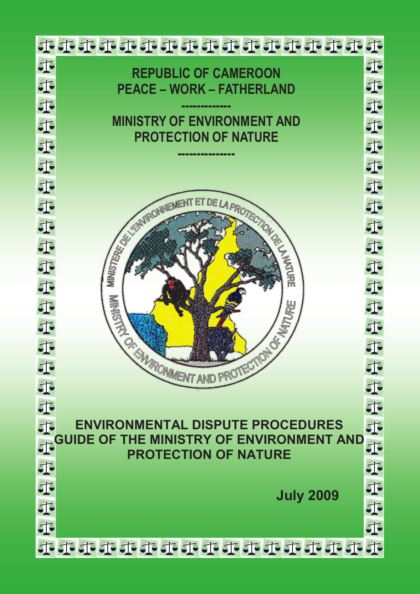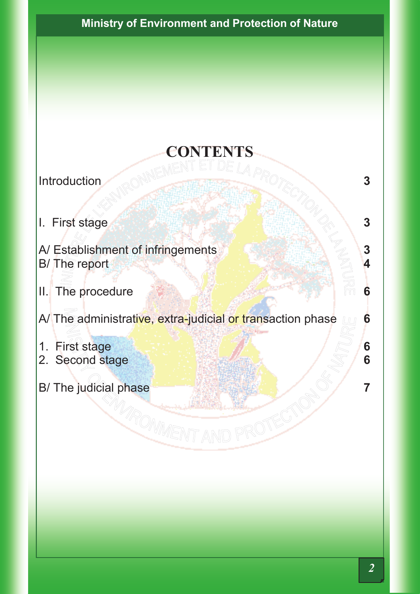# **CONTENTS**

**Introduction and SILING CONDUCT 3** 

**I.** First stage **3** 

A/ Establishment of infringements **3 3** B/ The report **4**

RON

II. The procedure **66** 

A/ The administrative, extra-judicial or transaction phase **6**<sup>6</sup>

AND PROTECT

- 1. First stage **6**
- 2. Second stage **6**
- B/ The judicial phase **7 7 7**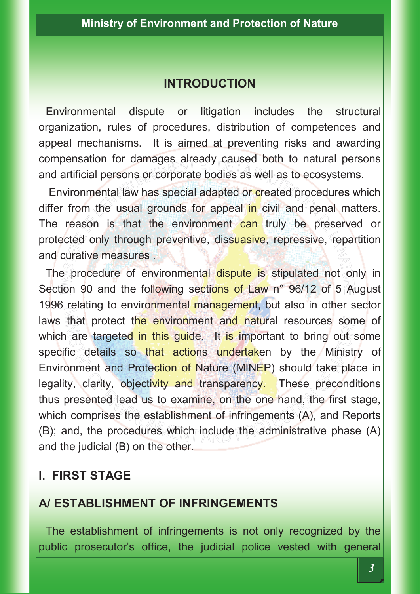#### **INTRODUCTION**

Environmental dispute or litigation includes the structural organization, rules of procedures, distribution of competences and appeal mechanisms. It is aimed at preventing risks and awarding compensation for damages already caused both to natural persons and artificial persons or corporate bodies as well as to ecosystems.

Environmental law has special adapted or created procedures which differ from the usual grounds for appeal in civil and penal matters. The reason is that the environment can truly be preserved or protected only through preventive, dissuasive, repressive, repartition and curative measures .

The procedure of environmental dispute is stipulated not only in Section 90 and the following sections of Law n° 96/12 of 5 August 1996 relating to environmental management, but also in other sector laws that protect the environment and natural resources some of which are targeted in this guide. It is important to bring out some specific details so that actions undertaken by the Ministry of Environment and Protection of Nature (MINEP) should take place in legality, clarity, objectivity and transparency. These preconditions thus presented lead us to examine, on the one hand, the first stage, which comprises the establishment of infringements (A), and Reports (B); and, the procedures which include the administrative phase (A) and the judicial (B) on the other.

## **I. FIRST STAGE**

# **A/ ESTABLISHMENT OF INFRINGEMENTS**

The establishment of infringements is not only recognized by the public prosecutor's office, the judicial police vested with general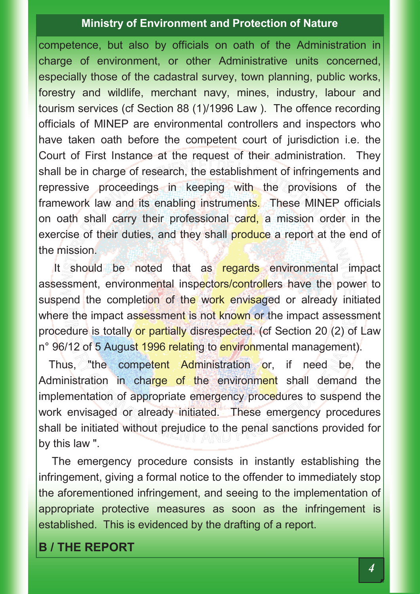competence, but also by officials on oath of the Administration in charge of environment, or other Administrative units concerned, especially those of the cadastral survey, town planning, public works, forestry and wildlife, merchant navy, mines, industry, labour and tourism services (cf Section 88 (1)/1996 Law ). The offence recording officials of MINEP are environmental controllers and inspectors who have taken oath before the competent court of jurisdiction i.e. the Court of First Instance at the request of their administration. They shall be in charge of research, the establishment of infringements and repressive proceedings in keeping with the provisions of the framework law and its enabling instruments. These MINEP officials on oath shall carry their professional card, a mission order in the exercise of their duties, and they shall produce a report at the end of the mission.

It should be noted that as regards environmental impact assessment, environmental inspectors/controllers have the power to suspend the completion of the work envisaged or already initiated where the impact assessment is not known or the impact assessment procedure is totally or partially disrespected. (cf Section 20 (2) of Law n° 96/12 of 5 August 1996 relating to environmental management).

Thus, the competent Administration or, if need be, the Administration in charge of the environment shall demand the implementation of appropriate emergency procedures to suspend the work envisaged or already initiated. These emergency procedures shall be initiated without prejudice to the penal sanctions provided for by this law ".

 The emergency procedure consists in instantly establishing the infringement, giving a formal notice to the offender to immediately stop the aforementioned infringement, and seeing to the implementation of appropriate protective measures as soon as the infringement is established. This is evidenced by the drafting of a report.

# **B / THE REPORT**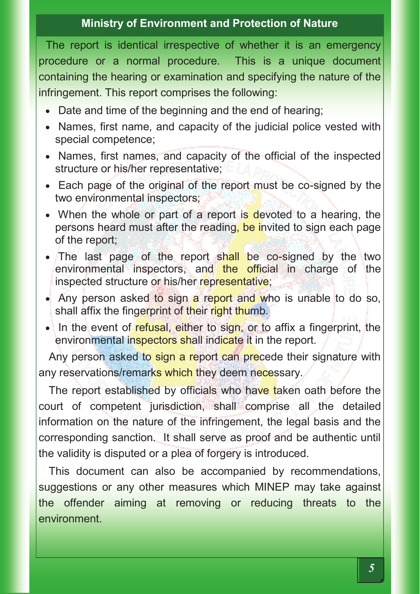The report is identical irrespective of whether it is an emergency procedure or a normal procedure. This is a unique document containing the hearing or examination and specifying the nature of the infringement. This report comprises the following:

- Date and time of the beginning and the end of hearing;
- Names, first name, and capacity of the judicial police vested with special competence;
- Names, first names, and capacity of the official of the inspected structure or his/her representative;
- Each page of the original of the report must be co-signed by the two environmental inspectors;
- When the whole or part of a report is devoted to a hearing, the persons heard must after the reading, be invited to sign each page of the report;
- The last page of the report shall be co-signed by the two environmental inspectors, and the official in charge of the inspected structure or his/her representative;
- Any person asked to sign a report and who is unable to do so, shall affix the fingerprint of their right thumb.
- In the event of refusal, either to sign, or to affix a fingerprint, the environmental inspectors shall indicate it in the report.

Any person asked to sign a report can precede their signature with any reservations/remarks which they deem necessary.

The report established by officials who have taken oath before the court of competent jurisdiction, shall comprise all the detailed information on the nature of the infringement, the legal basis and the corresponding sanction. It shall serve as proof and be authentic until the validity is disputed or a plea of forgery is introduced.

This document can also be accompanied by recommendations, suggestions or any other measures which MINEP may take against the offender aiming at removing or reducing threats to the environment.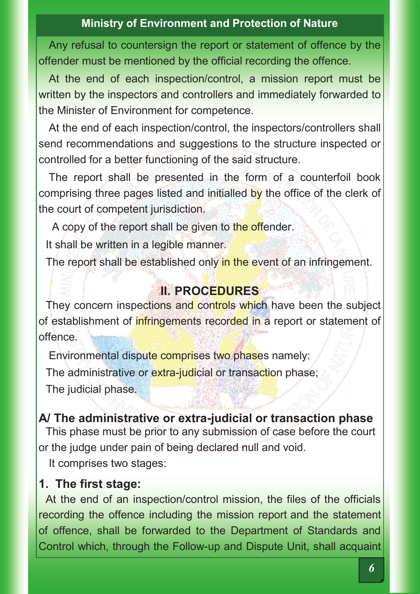Any refusal to countersign the report or statement of offence by the offender must be mentioned by the official recording the offence.

At the end of each inspection/control, a mission report must be written by the inspectors and controllers and immediately forwarded to the Minister of Environment for competence.

At the end of each inspection/control, the inspectors/controllers shall send recommendations and suggestions to the structure inspected or controlled for a better functioning of the said structure.

The report shall be presented in the form of a counterfoil book comprising three pages listed and initialled by the office of the clerk of the court of competent jurisdiction.

A copy of the report shall be given to the offender.

It shall be written in a legible manner.

The report shall be established only in the event of an infringement.

#### **II. PROCEDURES**

They concern inspections and controls which have been the subject of establishment of *infringements* recorded in a report or statement of offence.

Environmental dispute comprises two phases namely: The administrative or extra-judicial or transaction phase; The judicial phase.

## **A/ The administrative or extra-judicial or transaction phase**  This phase must be prior to any submission of case before the court or the judge under pain of being declared null and void.

It comprises two stages:

## **1. The first stage:**

At the end of an inspection/control mission, the files of the officials recording the offence including the mission report and the statement of offence, shall be forwarded to the Department of Standards and Control which, through the Follow-up and Dispute Unit, shall acquaint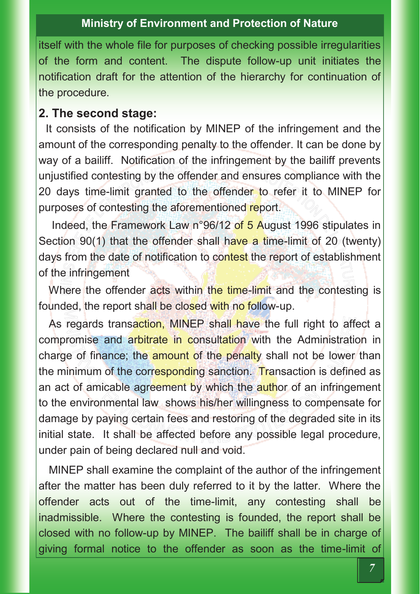itself with the whole file for purposes of checking possible irregularities of the form and content. The dispute follow-up unit initiates the notification draft for the attention of the hierarchy for continuation of the procedure.

#### **2. The second stage:**

It consists of the notification by MINEP of the infringement and the amount of the corresponding penalty to the offender. It can be done by way of a bailiff. Notification of the infringement by the bailiff prevents unjustified contesting by the offender and ensures compliance with the 20 days time-limit granted to the offender to refer it to MINEP for purposes of contesting the aforementioned report.

 Indeed, the Framework Law n°96/12 of 5 August 1996 stipulates in Section 90(1) that the offender shall have a time-limit of 20 (twenty) days from the date of notification to contest the report of establishment of the infringement

Where the offender acts within the time-limit and the contesting is founded, the report shall be closed with no follow-up.

As regards transaction, MINEP shall have the full right to affect a compromise and arbitrate in consultation with the Administration in charge of finance; the amount of the penalty shall not be lower than the minimum of the corresponding sanction. Transaction is defined as an act of amicable agreement by which the author of an infringement to the environmental law shows his/her willingness to compensate for damage by paying certain fees and restoring of the degraded site in its initial state. It shall be affected before any possible legal procedure, under pain of being declared null and void.

MINEP shall examine the complaint of the author of the infringement after the matter has been duly referred to it by the latter. Where the offender acts out of the time-limit, any contesting shall be inadmissible. Where the contesting is founded, the report shall be closed with no follow-up by MINEP. The bailiff shall be in charge of giving formal notice to the offender as soon as the time-limit of